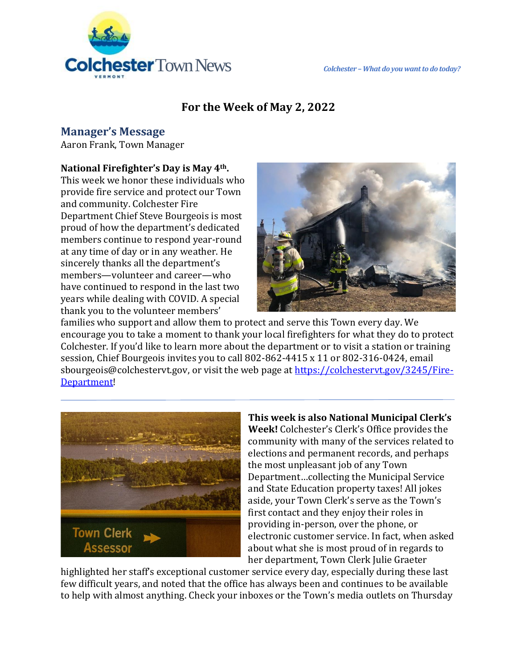

# **For the Week of May 2, 2022**

## **Manager's Message**

Aaron Frank, Town Manager

#### **National Firefighter's Day is May 4th.**

This week we honor these individuals who provide fire service and protect our Town and community. Colchester Fire Department Chief Steve Bourgeois is most proud of how the department's dedicated members continue to respond year-round at any time of day or in any weather. He sincerely thanks all the department's members—volunteer and career—who have continued to respond in the last two years while dealing with COVID. A special thank you to the volunteer members'



families who support and allow them to protect and serve this Town every day. We encourage you to take a moment to thank your local firefighters for what they do to protect Colchester. If you'd like to learn more about the department or to visit a station or training session, Chief Bourgeois invites you to call 802-862-4415 x 11 or 802-316-0424, email sbourgeois@colchestervt.gov, or visit the web page at [https://colchestervt.gov/3245/Fire-](https://colchestervt.gov/3245/Fire-Department?fbclid=IwAR3iBnPc6MNOvQoa1hEcqP9jvpkh6ghniVvCTMZCQ3hvOPRLf2ZKmHQ6mZ8)[Department!](https://colchestervt.gov/3245/Fire-Department?fbclid=IwAR3iBnPc6MNOvQoa1hEcqP9jvpkh6ghniVvCTMZCQ3hvOPRLf2ZKmHQ6mZ8)



#### **This week is also National Municipal Clerk's Week!** Colchester's Clerk's Office provides the community with many of the services related to elections and permanent records, and perhaps the most unpleasant job of any Town Department…collecting the Municipal Service and State Education property taxes! All jokes aside, your Town Clerk's serve as the Town's first contact and they enjoy their roles in providing in-person, over the phone, or electronic customer service. In fact, when asked about what she is most proud of in regards to her department, Town Clerk Julie Graeter

highlighted her staff's exceptional customer service every day, especially during these last few difficult years, and noted that the office has always been and continues to be available to help with almost anything. Check your inboxes or the Town's media outlets on Thursday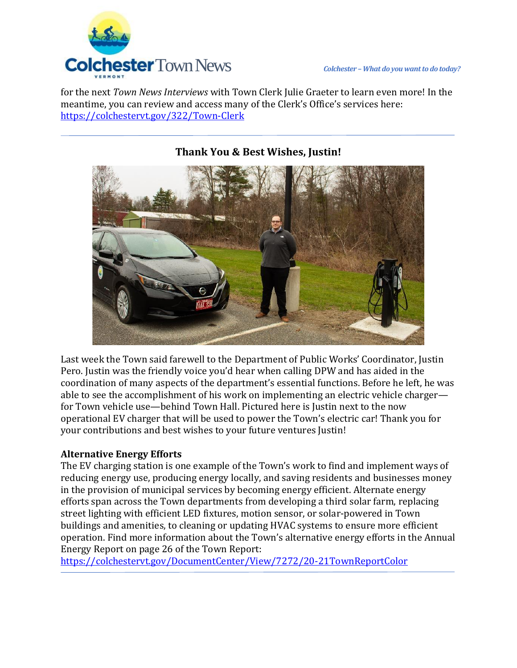

for the next *Town News Interviews* with Town Clerk Julie Graeter to learn even more! In the meantime, you can review and access many of the Clerk's Office's services here: <https://colchestervt.gov/322/Town-Clerk>



### **Thank You & Best Wishes, Justin!**

Last week the Town said farewell to the Department of Public Works' Coordinator, Justin Pero. Justin was the friendly voice you'd hear when calling DPW and has aided in the coordination of many aspects of the department's essential functions. Before he left, he was able to see the accomplishment of his work on implementing an electric vehicle charger for Town vehicle use—behind Town Hall. Pictured here is Justin next to the now operational EV charger that will be used to power the Town's electric car! Thank you for your contributions and best wishes to your future ventures Justin!

#### **Alternative Energy Efforts**

The EV charging station is one example of the Town's work to find and implement ways of reducing energy use, producing energy locally, and saving residents and businesses money in the provision of municipal services by becoming energy efficient. Alternate energy efforts span across the Town departments from developing a third solar farm, replacing street lighting with efficient LED fixtures, motion sensor, or solar-powered in Town buildings and amenities, to cleaning or updating HVAC systems to ensure more efficient operation. Find more information about the Town's alternative energy efforts in the Annual Energy Report on page 26 of the Town Report:

<https://colchestervt.gov/DocumentCenter/View/7272/20-21TownReportColor>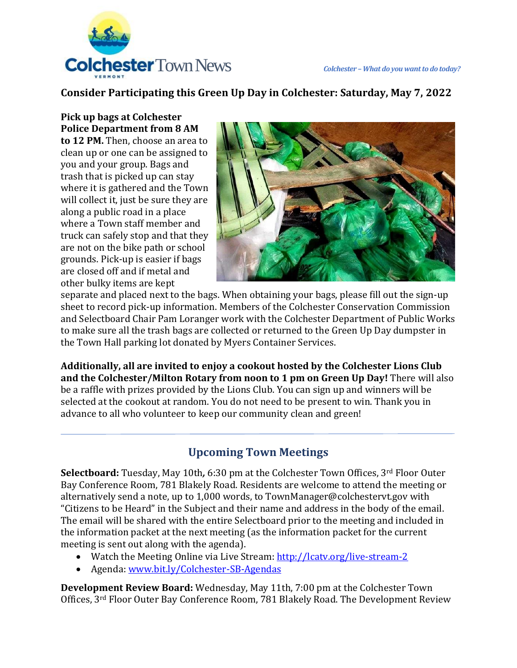

## **Consider Participating this Green Up Day in Colchester: Saturday, May 7, 2022**

### **Pick up bags at Colchester Police Department from 8 AM**

**to 12 PM.** Then, choose an area to clean up or one can be assigned to you and your group. Bags and trash that is picked up can stay where it is gathered and the Town will collect it, just be sure they are along a public road in a place where a Town staff member and truck can safely stop and that they are not on the bike path or school grounds. Pick-up is easier if bags are closed off and if metal and other bulky items are kept



separate and placed next to the bags. When obtaining your bags, please fill out the sign-up sheet to record pick-up information. Members of the Colchester Conservation Commission and Selectboard Chair Pam Loranger work with the Colchester Department of Public Works to make sure all the trash bags are collected or returned to the Green Up Day dumpster in the Town Hall parking lot donated by Myers Container Services.

**Additionally, all are invited to enjoy a cookout hosted by the Colchester Lions Club and the Colchester/Milton Rotary from noon to 1 pm on Green Up Day!** There will also be a raffle with prizes provided by the Lions Club. You can sign up and winners will be selected at the cookout at random. You do not need to be present to win. Thank you in advance to all who volunteer to keep our community clean and green!

# **Upcoming Town Meetings**

**Selectboard:** Tuesday, May 10th*,* 6:30 pm at the Colchester Town Offices, 3rd Floor Outer Bay Conference Room, 781 Blakely Road. Residents are welcome to attend the meeting or alternatively send a note, up to 1,000 words, to TownManager@colchestervt.gov with "Citizens to be Heard" in the Subject and their name and address in the body of the email. The email will be shared with the entire Selectboard prior to the meeting and included in the information packet at the next meeting (as the information packet for the current meeting is sent out along with the agenda).

- Watch the Meeting Online via Live Stream:<http://lcatv.org/live-stream-2>
- Agenda: [www.bit.ly/Colchester-SB-Agendas](http://www.bit.ly/Colchester-SB-Agendas)

**Development Review Board:** Wednesday, May 11th, 7:00 pm at the Colchester Town Offices, 3rd Floor Outer Bay Conference Room, 781 Blakely Road. The Development Review